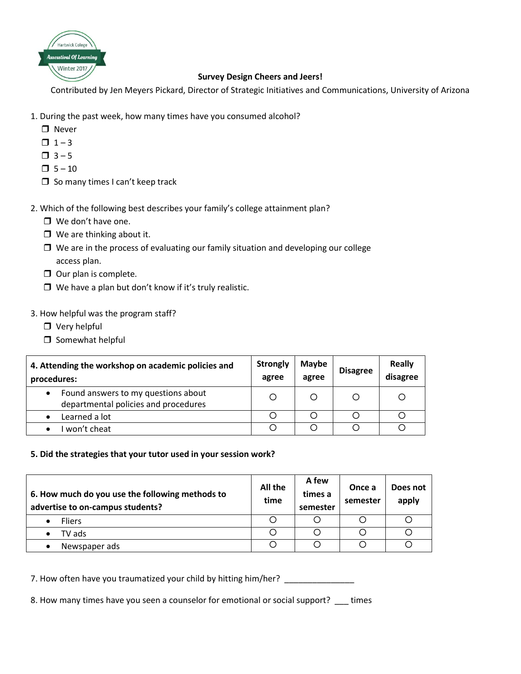

## **Survey Design Cheers and Jeers!**

Contributed by Jen Meyers Pickard, Director of Strategic Initiatives and Communications, University of Arizona

- 1. During the past week, how many times have you consumed alcohol?
	- **D** Never
	- $\Box$  1 3
	- $\Box$  3 5
	- $\Box$  5 10
	- $\square$  So many times I can't keep track

2. Which of the following best describes your family's college attainment plan?

- □ We don't have one.
- $\Box$  We are thinking about it.
- $\Box$  We are in the process of evaluating our family situation and developing our college access plan.
- $\Box$  Our plan is complete.
- $\Box$  We have a plan but don't know if it's truly realistic.

## 3. How helpful was the program staff?

- □ Very helpful
- $\square$  Somewhat helpful

| 4. Attending the workshop on academic policies and<br>procedures:                        | <b>Strongly</b><br>agree | <b>Maybe</b><br>agree | <b>Disagree</b> | <b>Really</b><br>disagree |
|------------------------------------------------------------------------------------------|--------------------------|-----------------------|-----------------|---------------------------|
| Found answers to my questions about<br>$\bullet$<br>departmental policies and procedures | Ο                        | O                     |                 | O                         |
| Learned a lot<br>$\bullet$                                                               |                          |                       |                 |                           |
| won't cheat                                                                              |                          |                       |                 |                           |

## **5. Did the strategies that your tutor used in your session work?**

| 6. How much do you use the following methods to<br>advertise to on-campus students? | All the<br>time | A few<br>times a<br>semester | Once a<br>semester | Does not<br>apply |
|-------------------------------------------------------------------------------------|-----------------|------------------------------|--------------------|-------------------|
| <b>Fliers</b>                                                                       |                 |                              |                    |                   |
| TV ads                                                                              |                 |                              |                    |                   |
| Newspaper ads                                                                       |                 |                              |                    |                   |

7. How often have you traumatized your child by hitting him/her? \_\_\_\_\_\_\_\_\_\_\_\_\_\_\_

8. How many times have you seen a counselor for emotional or social support? \_\_\_ times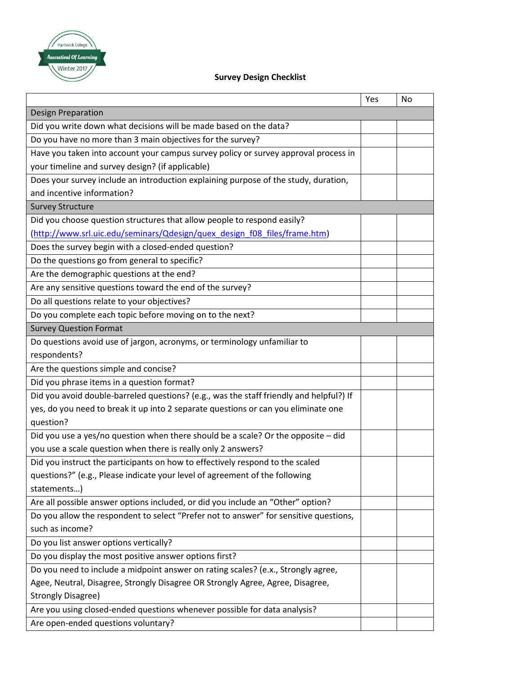

## **Survey Design Checklist**

|                                                                                         | Yes | No |
|-----------------------------------------------------------------------------------------|-----|----|
| <b>Design Preparation</b>                                                               |     |    |
| Did you write down what decisions will be made based on the data?                       |     |    |
| Do you have no more than 3 main objectives for the survey?                              |     |    |
| Have you taken into account your campus survey policy or survey approval process in     |     |    |
| your timeline and survey design? (if applicable)                                        |     |    |
| Does your survey include an introduction explaining purpose of the study, duration,     |     |    |
| and incentive information?                                                              |     |    |
| <b>Survey Structure</b>                                                                 |     |    |
| Did you choose question structures that allow people to respond easily?                 |     |    |
| (http://www.srl.uic.edu/seminars/Qdesign/quex design f08 files/frame.htm)               |     |    |
| Does the survey begin with a closed-ended question?                                     |     |    |
| Do the questions go from general to specific?                                           |     |    |
| Are the demographic questions at the end?                                               |     |    |
| Are any sensitive questions toward the end of the survey?                               |     |    |
| Do all questions relate to your objectives?                                             |     |    |
| Do you complete each topic before moving on to the next?                                |     |    |
| <b>Survey Question Format</b>                                                           |     |    |
| Do questions avoid use of jargon, acronyms, or terminology unfamiliar to                |     |    |
| respondents?                                                                            |     |    |
| Are the questions simple and concise?                                                   |     |    |
| Did you phrase items in a question format?                                              |     |    |
| Did you avoid double-barreled questions? (e.g., was the staff friendly and helpful?) If |     |    |
| yes, do you need to break it up into 2 separate questions or can you eliminate one      |     |    |
| question?                                                                               |     |    |
| Did you use a yes/no question when there should be a scale? Or the opposite - did       |     |    |
| you use a scale question when there is really only 2 answers?                           |     |    |
| Did you instruct the participants on how to effectively respond to the scaled           |     |    |
| questions?" (e.g., Please indicate your level of agreement of the following             |     |    |
| statements)                                                                             |     |    |
| Are all possible answer options included, or did you include an "Other" option?         |     |    |
| Do you allow the respondent to select "Prefer not to answer" for sensitive questions,   |     |    |
| such as income?                                                                         |     |    |
| Do you list answer options vertically?                                                  |     |    |
| Do you display the most positive answer options first?                                  |     |    |
| Do you need to include a midpoint answer on rating scales? (e.x., Strongly agree,       |     |    |
| Agee, Neutral, Disagree, Strongly Disagree OR Strongly Agree, Agree, Disagree,          |     |    |
| <b>Strongly Disagree)</b>                                                               |     |    |
| Are you using closed-ended questions whenever possible for data analysis?               |     |    |
| Are open-ended questions voluntary?                                                     |     |    |